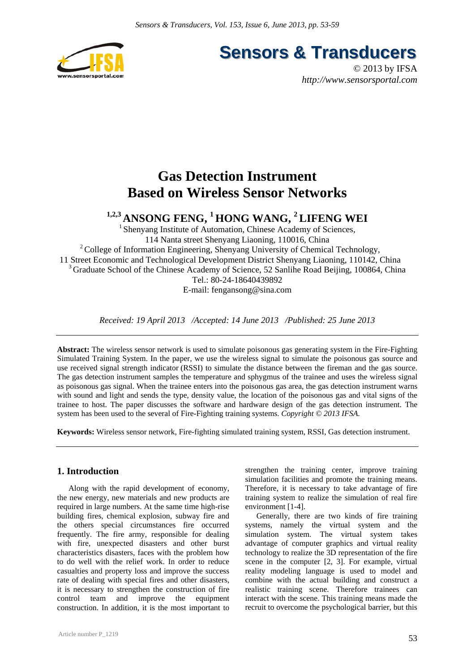

**Sensors & Transducers** 

© 2013 by IFSA *http://www.sensorsportal.com*

## **Gas Detection Instrument Based on Wireless Sensor Networks**

# **1,2,3 ANSONG FENG, 1 HONG WANG, 2 LIFENG WEI**

<sup>1</sup> Shenyang Institute of Automation, Chinese Academy of Sciences, 114 Nanta street Shenyang Liaoning, 110016, China <sup>2</sup> College of Information Engineering, Shenyang University of Chemical Technology, 11 Street Economic and Technological Development District Shenyang Liaoning, 110142, China <sup>3</sup> Graduate School of the Chinese Academy of Science, 52 Sanlihe Road Beijing, 100864, China Tel.: 80-24-18640439892 E-mail: fengansong@sina.com

*Received: 19 April 2013 /Accepted: 14 June 2013 /Published: 25 June 2013* 

**Abstract:** The wireless sensor network is used to simulate poisonous gas generating system in the Fire-Fighting Simulated Training System. In the paper, we use the wireless signal to simulate the poisonous gas source and use received signal strength indicator (RSSI) to simulate the distance between the fireman and the gas source. The gas detection instrument samples the temperature and sphygmus of the trainee and uses the wireless signal as poisonous gas signal. When the trainee enters into the poisonous gas area, the gas detection instrument warns with sound and light and sends the type, density value, the location of the poisonous gas and vital signs of the trainee to host. The paper discusses the software and hardware design of the gas detection instrument. The system has been used to the several of Fire-Fighting training systems. *Copyright © 2013 IFSA.*

**Keywords:** Wireless sensor network, Fire-fighting simulated training system, RSSI, Gas detection instrument.

## **1. Introduction**

Along with the rapid development of economy, the new energy, new materials and new products are required in large numbers. At the same time high-rise building fires, chemical explosion, subway fire and the others special circumstances fire occurred frequently. The fire army, responsible for dealing with fire, unexpected disasters and other burst characteristics disasters, faces with the problem how to do well with the relief work. In order to reduce casualties and property loss and improve the success rate of dealing with special fires and other disasters, it is necessary to strengthen the construction of fire control team and improve the equipment construction. In addition, it is the most important to

strengthen the training center, improve training simulation facilities and promote the training means. Therefore, it is necessary to take advantage of fire training system to realize the simulation of real fire environment [1-4].

Generally, there are two kinds of fire training systems, namely the virtual system and the simulation system. The virtual system takes advantage of computer graphics and virtual reality technology to realize the 3D representation of the fire scene in the computer [2, 3]. For example, virtual reality modeling language is used to model and combine with the actual building and construct a realistic training scene. Therefore trainees can interact with the scene. This training means made the recruit to overcome the psychological barrier, but this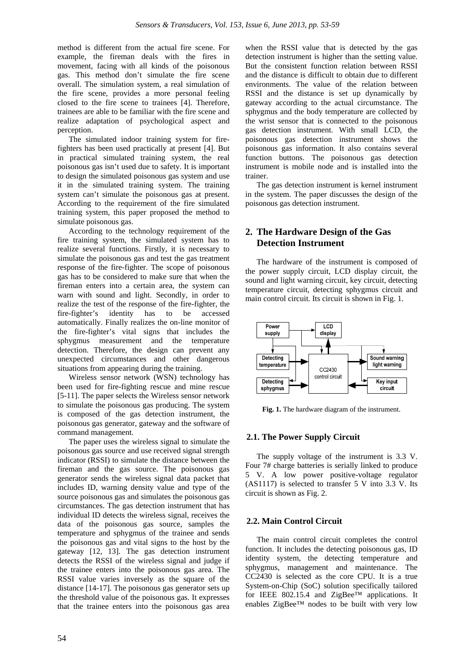method is different from the actual fire scene. For example, the fireman deals with the fires in movement, facing with all kinds of the poisonous gas. This method don't simulate the fire scene overall. The simulation system, a real simulation of the fire scene, provides a more personal feeling closed to the fire scene to trainees [4]. Therefore, trainees are able to be familiar with the fire scene and realize adaptation of psychological aspect and perception.

The simulated indoor training system for firefighters has been used practically at present [4]. But in practical simulated training system, the real poisonous gas isn't used due to safety. It is important to design the simulated poisonous gas system and use it in the simulated training system. The training system can't simulate the poisonous gas at present. According to the requirement of the fire simulated training system, this paper proposed the method to simulate poisonous gas.

According to the technology requirement of the fire training system, the simulated system has to realize several functions. Firstly, it is necessary to simulate the poisonous gas and test the gas treatment response of the fire-fighter. The scope of poisonous gas has to be considered to make sure that when the fireman enters into a certain area, the system can warn with sound and light. Secondly, in order to realize the test of the response of the fire-fighter, the fire-fighter's identity has to be accessed automatically. Finally realizes the on-line monitor of the fire-fighter's vital signs that includes the sphygmus measurement and the temperature detection. Therefore, the design can prevent any unexpected circumstances and other dangerous situations from appearing during the training.

Wireless sensor network (WSN) technology has been used for fire-fighting rescue and mine rescue [5-11]. The paper selects the Wireless sensor network to simulate the poisonous gas producing. The system is composed of the gas detection instrument, the poisonous gas generator, gateway and the software of command management.

The paper uses the wireless signal to simulate the poisonous gas source and use received signal strength indicator (RSSI) to simulate the distance between the fireman and the gas source. The poisonous gas generator sends the wireless signal data packet that includes ID, warning density value and type of the source poisonous gas and simulates the poisonous gas circumstances. The gas detection instrument that has individual ID detects the wireless signal, receives the data of the poisonous gas source, samples the temperature and sphygmus of the trainee and sends the poisonous gas and vital signs to the host by the gateway [12, 13]. The gas detection instrument detects the RSSI of the wireless signal and judge if the trainee enters into the poisonous gas area. The RSSI value varies inversely as the square of the distance [14-17]. The poisonous gas generator sets up the threshold value of the poisonous gas. It expresses that the trainee enters into the poisonous gas area when the RSSI value that is detected by the gas detection instrument is higher than the setting value. But the consistent function relation between RSSI and the distance is difficult to obtain due to different environments. The value of the relation between RSSI and the distance is set up dynamically by gateway according to the actual circumstance. The sphygmus and the body temperature are collected by the wrist sensor that is connected to the poisonous gas detection instrument. With small LCD, the poisonous gas detection instrument shows the poisonous gas information. It also contains several function buttons. The poisonous gas detection instrument is mobile node and is installed into the trainer.

The gas detection instrument is kernel instrument in the system. The paper discusses the design of the poisonous gas detection instrument.

## **2. The Hardware Design of the Gas Detection Instrument**

The hardware of the instrument is composed of the power supply circuit, LCD display circuit, the sound and light warning circuit, key circuit, detecting temperature circuit, detecting sphygmus circuit and main control circuit. Its circuit is shown in Fig. 1.



**Fig. 1.** The hardware diagram of the instrument.

## **2.1. The Power Supply Circuit**

The supply voltage of the instrument is 3.3 V. Four 7# charge batteries is serially linked to produce 5 V. A low power positive-voltage regulator (AS1117) is selected to transfer 5 V into 3.3 V. Its circuit is shown as Fig. 2.

## **2.2. Main Control Circuit**

The main control circuit completes the control function. It includes the detecting poisonous gas, ID identity system, the detecting temperature and sphygmus, management and maintenance. The CC2430 is selected as the core CPU. It is a true System-on-Chip (SoC) solution specifically tailored for IEEE 802.15.4 and ZigBee<sup>TM</sup> applications. It enables ZigBee™ nodes to be built with very low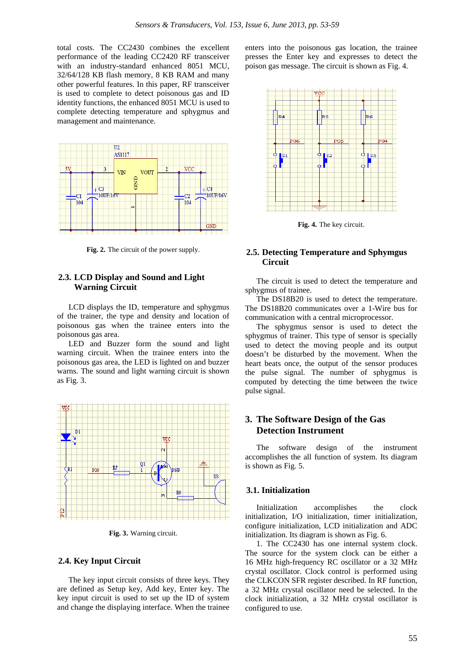total costs. The CC2430 combines the excellent performance of the leading CC2420 RF transceiver with an industry-standard enhanced 8051 MCU, 32/64/128 KB flash memory, 8 KB RAM and many other powerful features. In this paper, RF transceiver is used to complete to detect poisonous gas and ID identity functions, the enhanced 8051 MCU is used to complete detecting temperature and sphygmus and management and maintenance.



**Fig. 2.** The circuit of the power supply.

## **2.3. LCD Display and Sound and Light Warning Circuit**

LCD displays the ID, temperature and sphygmus of the trainer, the type and density and location of poisonous gas when the trainee enters into the poisonous gas area.

LED and Buzzer form the sound and light warning circuit. When the trainee enters into the poisonous gas area, the LED is lighted on and buzzer warns. The sound and light warning circuit is shown as Fig. 3.



**Fig. 3.** Warning circuit.

### **2.4. Key Input Circuit**

The key input circuit consists of three keys. They are defined as Setup key, Add key, Enter key. The key input circuit is used to set up the ID of system and change the displaying interface. When the trainee enters into the poisonous gas location, the trainee presses the Enter key and expresses to detect the poison gas message. The circuit is shown as Fig. 4.



**Fig. 4.** The key circuit.

## **2.5. Detecting Temperature and Sphymgus Circuit**

The circuit is used to detect the temperature and sphygmus of trainee.

The DS18B20 is used to detect the temperature. The DS18B20 communicates over a 1-Wire bus for communication with a central microprocessor.

The sphygmus sensor is used to detect the sphygmus of trainer. This type of sensor is specially used to detect the moving people and its output doesn't be disturbed by the movement. When the heart beats once, the output of the sensor produces the pulse signal. The number of sphygmus is computed by detecting the time between the twice pulse signal.

## **3. The Software Design of the Gas Detection Instrument**

The software design of the instrument accomplishes the all function of system. Its diagram is shown as Fig. 5.

#### **3.1. Initialization**

Initialization accomplishes the clock initialization, I/O initialization, timer initialization, configure initialization, LCD initialization and ADC initialization. Its diagram is shown as Fig. 6.

1. The CC2430 has one internal system clock. The source for the system clock can be either a 16 MHz high-frequency RC oscillator or a 32 MHz crystal oscillator. Clock control is performed using the CLKCON SFR register described. In RF function, a 32 MHz crystal oscillator need be selected. In the clock initialization, a 32 MHz crystal oscillator is configured to use.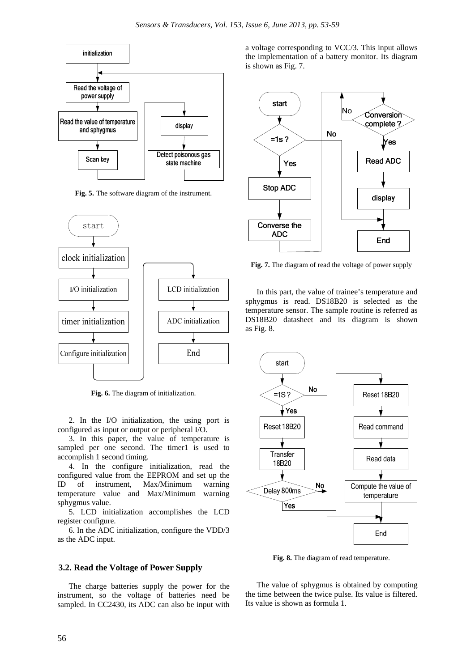

**Fig. 5.** The software diagram of the instrument.



**Fig. 6.** The diagram of initialization.

2. In the I/O initialization, the using port is configured as input or output or peripheral I/O.

3. In this paper, the value of temperature is sampled per one second. The timer1 is used to accomplish 1 second timing.

4. In the configure initialization, read the configured value from the EEPROM and set up the ID of instrument, Max/Minimum warning temperature value and Max/Minimum warning sphygmus value.

5. LCD initialization accomplishes the LCD register configure.

6. In the ADC initialization, configure the VDD/3 as the ADC input.

#### **3.2. Read the Voltage of Power Supply**

The charge batteries supply the power for the instrument, so the voltage of batteries need be sampled. In CC2430, its ADC can also be input with

a voltage corresponding to VCC/3. This input allows the implementation of a battery monitor. Its diagram is shown as Fig. 7.



**Fig. 7.** The diagram of read the voltage of power supply

In this part, the value of trainee's temperature and sphygmus is read. DS18B20 is selected as the temperature sensor. The sample routine is referred as DS18B20 datasheet and its diagram is shown as Fig. 8.



**Fig. 8.** The diagram of read temperature.

The value of sphygmus is obtained by computing the time between the twice pulse. Its value is filtered. Its value is shown as formula 1.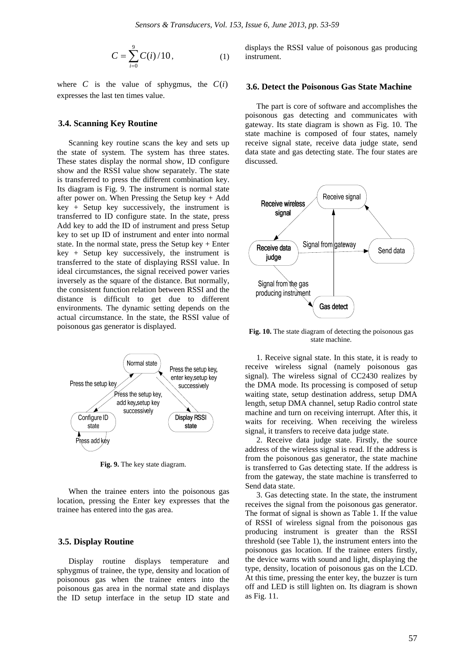$$
C = \sum_{i=0}^{9} C(i)/10, \tag{1}
$$

where  $C$  is the value of sphygmus, the  $C(i)$ expresses the last ten times value.

#### **3.4. Scanning Key Routine**

Scanning key routine scans the key and sets up the state of system. The system has three states. These states display the normal show, ID configure show and the RSSI value show separately. The state is transferred to press the different combination key. Its diagram is Fig. 9. The instrument is normal state after power on. When Pressing the Setup key + Add key + Setup key successively, the instrument is transferred to ID configure state. In the state, press Add key to add the ID of instrument and press Setup key to set up ID of instrument and enter into normal state. In the normal state, press the Setup key  $+$  Enter  $key + Setup key successively, the instrument is$ transferred to the state of displaying RSSI value. In ideal circumstances, the signal received power varies inversely as the square of the distance. But normally, the consistent function relation between RSSI and the distance is difficult to get due to different environments. The dynamic setting depends on the actual circumstance. In the state, the RSSI value of poisonous gas generator is displayed.



**Fig. 9.** The key state diagram.

When the trainee enters into the poisonous gas location, pressing the Enter key expresses that the trainee has entered into the gas area.

### **3.5. Display Routine**

Display routine displays temperature and sphygmus of trainee, the type, density and location of poisonous gas when the trainee enters into the poisonous gas area in the normal state and displays the ID setup interface in the setup ID state and

displays the RSSI value of poisonous gas producing instrument.

#### **3.6. Detect the Poisonous Gas State Machine**

The part is core of software and accomplishes the poisonous gas detecting and communicates with gateway. Its state diagram is shown as Fig. 10. The state machine is composed of four states, namely receive signal state, receive data judge state, send data state and gas detecting state. The four states are discussed.



Fig. 10. The state diagram of detecting the poisonous gas state machine.

1. Receive signal state. In this state, it is ready to receive wireless signal (namely poisonous gas signal). The wireless signal of CC2430 realizes by the DMA mode. Its processing is composed of setup waiting state, setup destination address, setup DMA length, setup DMA channel, setup Radio control state machine and turn on receiving interrupt. After this, it waits for receiving. When receiving the wireless signal, it transfers to receive data judge state.

2. Receive data judge state. Firstly, the source address of the wireless signal is read. If the address is from the poisonous gas generator, the state machine is transferred to Gas detecting state. If the address is from the gateway, the state machine is transferred to Send data state.

3. Gas detecting state. In the state, the instrument receives the signal from the poisonous gas generator. The format of signal is shown as Table 1. If the value of RSSI of wireless signal from the poisonous gas producing instrument is greater than the RSSI threshold (see Table 1), the instrument enters into the poisonous gas location. If the trainee enters firstly, the device warns with sound and light, displaying the type, density, location of poisonous gas on the LCD. At this time, pressing the enter key, the buzzer is turn off and LED is still lighten on. Its diagram is shown as Fig. 11.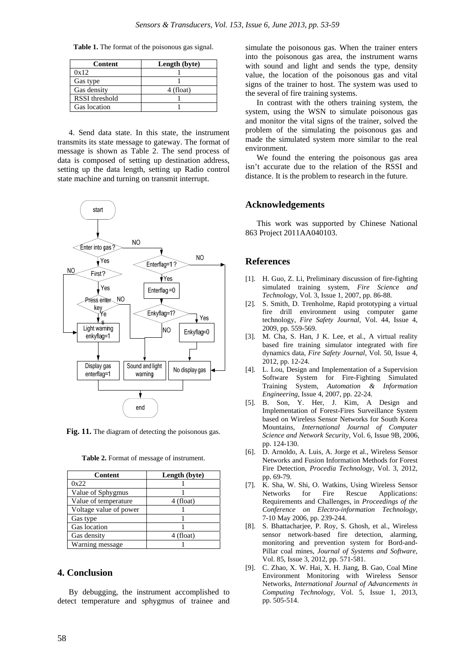**Table 1.** The format of the poisonous gas signal.

| Content        | Length (byte) |
|----------------|---------------|
| 0x12           |               |
| Gas type       |               |
| Gas density    | 4 (float)     |
| RSSI threshold |               |
| Gas location   |               |

4. Send data state. In this state, the instrument transmits its state message to gateway. The format of message is shown as Table 2. The send process of data is composed of setting up destination address, setting up the data length, setting up Radio control state machine and turning on transmit interrupt.



**Fig. 11.** The diagram of detecting the poisonous gas.

**Table 2.** Format of message of instrument.

| Content                | Length (byte) |
|------------------------|---------------|
| 0x22                   |               |
| Value of Sphygmus      |               |
| Value of temperature   | 4 (float)     |
| Voltage value of power |               |
| Gas type               |               |
| Gas location           |               |
| Gas density            | 4 (float)     |
| Warning message        |               |

## **4. Conclusion**

By debugging, the instrument accomplished to detect temperature and sphygmus of trainee and

simulate the poisonous gas. When the trainer enters into the poisonous gas area, the instrument warns with sound and light and sends the type, density value, the location of the poisonous gas and vital signs of the trainer to host. The system was used to the several of fire training systems.

In contrast with the others training system, the system, using the WSN to simulate poisonous gas and monitor the vital signs of the trainer, solved the problem of the simulating the poisonous gas and made the simulated system more similar to the real environment.

We found the entering the poisonous gas area isn't accurate due to the relation of the RSSI and distance. It is the problem to research in the future.

## **Acknowledgements**

This work was supported by Chinese National 863 Project 2011AA040103.

### **References**

- [1]. H. Guo, Z. Li, Preliminary discussion of fire-fighting simulated training system, *Fire Science and Technology,* Vol. 3, Issue 1, 2007, pp. 86-88.
- [2]. S. Smith, D. Trenholme, Rapid prototyping a virtual fire drill environment using computer game technology, *Fire Safety Journal,* Vol. 44, Issue 4, 2009, pp. 559-569.
- [3]. M. Cha, S. Han, J K. Lee, et al., A virtual reality based fire training simulator integrated with fire dynamics data, *Fire Safety Journal,* Vol. 50, Issue 4, 2012, pp. 12-24.
- [4]. L. Lou, Design and Implementation of a Supervision Software System for Fire-Fighting Simulated Training System, *Automation & Information Engineering,* Issue 4, 2007, pp. 22-24.
- [5]. B. Son, Y. Her, J. Kim, A Design and Implementation of Forest-Fires Surveillance System based on Wireless Sensor Networks for South Korea Mountains, *International Journal of Computer Science and Network Security,* Vol. 6, Issue 9B, 2006, pp. 124-130.
- [6]. D. Arnoldo, A. Luis, A. Jorge et al., Wireless Sensor Networks and Fusion Information Methods for Forest Fire Detection, *Procedia Technology,* Vol. 3, 2012, pp. 69-79.
- [7]. K. Sha, W. Shi, O. Watkins, Using Wireless Sensor Networks for Fire Rescue Applications: Requirements and Challenges, in *Proceedings of the Conference on Electro-information Technology,*  7-10 May 2006, pp. 239-244.
- [8]. S. Bhattacharjee, P. Roy, S. Ghosh, et al., Wireless sensor network-based fire detection, alarming, monitoring and prevention system for Bord-and-Pillar coal mines, *Journal of Systems and Software,*  Vol. 85, Issue 3, 2012, pp. 571-581.
- [9]. C. Zhao, X. W. Hai, X. H. Jiang, B. Gao, Coal Mine Environment Monitoring with Wireless Sensor Networks, *International Journal of Advancements in Computing Technology,* Vol. 5, Issue 1, 2013, pp. 505-514.